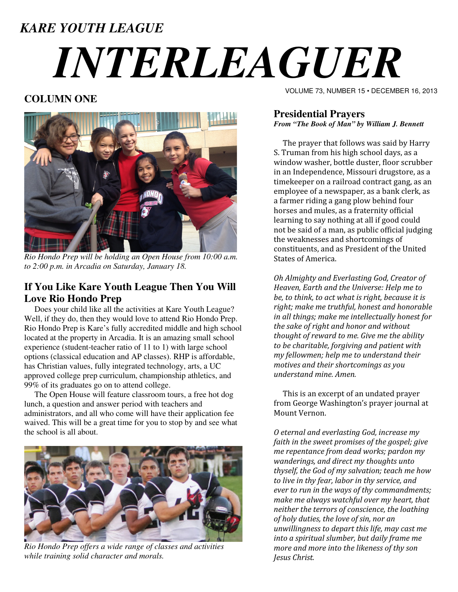### *KARE YOUTH LEAGUE*

# *INTERLEAGUER*

#### **COLUMN ONE**



*Rio Hondo Prep will be holding an Open House from 10:00 a.m. to 2:00 p.m. in Arcadia on Saturday, January 18.* 

#### **If You Like Kare Youth League Then You Will Love Rio Hondo Prep**

 Does your child like all the activities at Kare Youth League? Well, if they do, then they would love to attend Rio Hondo Prep. Rio Hondo Prep is Kare's fully accredited middle and high school located at the property in Arcadia. It is an amazing small school experience (student-teacher ratio of 11 to 1) with large school options (classical education and AP classes). RHP is affordable, has Christian values, fully integrated technology, arts, a UC approved college prep curriculum, championship athletics, and 99% of its graduates go on to attend college.

 The Open House will feature classroom tours, a free hot dog lunch, a question and answer period with teachers and administrators, and all who come will have their application fee waived. This will be a great time for you to stop by and see what the school is all about.



*Rio Hondo Prep offers a wide range of classes and activities while training solid character and morals.* 

VOLUME 73, NUMBER 15 • DECEMBER 16, 2013

#### **Presidential Prayers**  *From "The Book of Man" by William J. Bennett*

 The prayer that follows was said by Harry S. Truman from his high school days, as a window washer, bottle duster, floor scrubber in an Independence, Missouri drugstore, as a timekeeper on a railroad contract gang, as an employee of a newspaper, as a bank clerk, as a farmer riding a gang plow behind four horses and mules, as a fraternity official learning to say nothing at all if good could not be said of a man, as public official judging the weaknesses and shortcomings of constituents, and as President of the United States of America.

Oh Almighty and Everlasting God, Creator of Heaven, Earth and the Universe: Help me to be, to think, to act what is right, because it is right; make me truthful, honest and honorable in all things; make me intellectually honest for the sake of right and honor and without thought of reward to me. Give me the ability to be charitable, forgiving and patient with my fellowmen; help me to understand their motives and their shortcomings as you understand mine. Amen.

 This is an excerpt of an undated prayer from George Washington's prayer journal at Mount Vernon.

O eternal and everlasting God, increase my faith in the sweet promises of the gospel; give me repentance from dead works; pardon my wanderings, and direct my thoughts unto thyself, the God of my salvation; teach me how to live in thy fear, labor in thy service, and ever to run in the ways of thy commandments; make me always watchful over my heart, that neither the terrors of conscience, the loathing of holy duties, the love of sin, nor an unwillingness to depart this life, may cast me into a spiritual slumber, but daily frame me more and more into the likeness of thy son Jesus Christ.